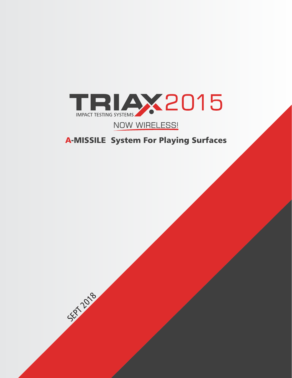

# NOW WIRELESS!

# **A-MISSILE System For Playing Surfaces**

SEPT 2018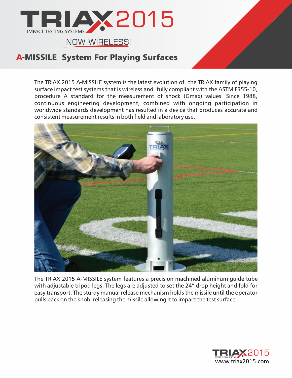

The TRIAX 2015 A-MISSILE system is the latest evolution of the TRIAX family of playing surface impact test systems that is wireless and fully compliant with the ASTM F355-10, procedure A standard for the measurement of shock (Gmax) values. Since 1988, continuous engineering development, combined with ongoing participation in worldwide standards development has resulted in a device that produces accurate and consistent measurement results in both field and laboratory use.



The TRIAX 2015 A-MISSILE system features a precision machined aluminum guide tube with adjustable tripod legs. The legs are adjusted to set the 24" drop height and fold for easy transport. The sturdy manual release mechanism holds the missile until the operator pulls back on the knob, releasing the missile allowing it to impact the test surface.

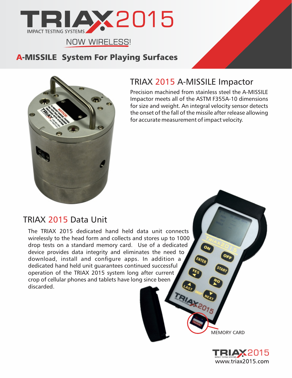



# TRIAX 2015 A-MISSILE Impactor

Precision machined from stainless steel the A-MISSILE Impactor meets all of the ASTM F355A-10 dimensions for size and weight. An integral velocity sensor detects the onset of the fall of the missile after release allowing for accurate measurement of impact velocity.

# TRIAX 2015 Data Unit

The TRIAX 2015 dedicated hand held data unit connects wirelessly to the head form and collects and stores up to 1000 drop tests on a standard memory card. Use of a dedicated device provides data integrity and eliminates the need to download, install and configure apps. In addition a dedicated hand held unit guarantees continued successful operation of the TRIAX 2015 system long after current crop of cellular phones and tablets have long since been discarded.

MEMORY CARD

TRIAX

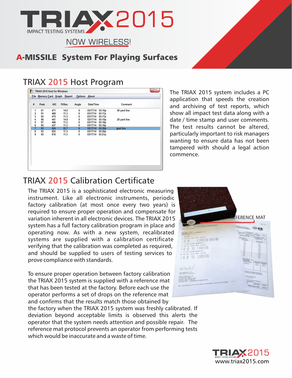

# TRIAX 2015 Host Program

| $\mathbb{X}$<br>TRIAX 2015 Host for Windows |                               |            |              |                      |                      |         |              |  |
|---------------------------------------------|-------------------------------|------------|--------------|----------------------|----------------------|---------|--------------|--|
|                                             | File Memory Card Graph Report |            |              | <b>Options</b> About |                      |         |              |  |
| #                                           | <b>HIC</b><br>Peak<br>Ft/Sec  |            | Angle        | Date/Time            |                      | Comment |              |  |
| 1                                           | 91                            | 471        | 14.0         | 0                    | 03/17/14             | 03:16p  | 50 yard line |  |
| $\frac{2}{3}$                               | 91                            | 469        | 11.3         | 0                    | 03/17/14             | 03:17p  |              |  |
|                                             | 92                            | 475        | 11.3         | 0                    | 03/17/14             | 03:17p  |              |  |
| 4                                           | 96                            | 441        | 14.0         | 0                    | 03/17/14             | 03:18p  | 20 yard line |  |
| 5                                           | 97                            | 446        | 11.3         | 0                    | 03/17/14             | 03:18p  |              |  |
| 6                                           | 95                            | 437        | 11.3         | 0                    | 03/17/14             | 03:18p  |              |  |
| $\overline{7}$                              | 93                            | 824        | 22.7         | $\mathbf{0}$         | 03/17/14             | 03:20p  | goal line    |  |
| 8<br>9                                      | 93<br>92                      | 823<br>816 | 11.3<br>11.3 | 0<br>0               | 03/17/14<br>03/17/14 | 03:20p  |              |  |
|                                             |                               |            |              |                      |                      | 03:21p  |              |  |
|                                             |                               |            |              |                      |                      |         |              |  |
|                                             |                               |            |              |                      |                      |         |              |  |
|                                             |                               |            |              |                      |                      |         |              |  |
|                                             |                               |            |              |                      |                      |         |              |  |
|                                             |                               |            |              |                      |                      |         |              |  |
|                                             |                               |            |              |                      |                      |         |              |  |
|                                             |                               |            |              |                      |                      |         |              |  |
|                                             |                               |            |              |                      |                      |         |              |  |
|                                             |                               |            |              |                      |                      |         |              |  |
|                                             |                               |            |              |                      |                      |         |              |  |

The TRIAX 2015 system includes a PC application that speeds the creation and archiving of test reports, which show all impact test data along with a date / time stamp and user comments. The test results cannot be altered, particularly important to risk managers wanting to ensure data has not been tampered with should a legal action commence.

# **TRIAX 2015 Calibration Certificate**

The TRIAX 2015 is a sophisticated electronic measuring instrument. Like all electronic instruments, periodic factory calibration (at most once every two years) is required to ensure proper operation and compensate for variation inherent in all electronic devices. The TRIAX 2015 system has a full factory calibration program in place and operating now. As with a new system, recalibrated systems are supplied with a calibration certificate verifying that the calibration was completed as required, and should be supplied to users of testing services to prove compliance with standards.

To ensure proper operation between factory calibration the TRIAX 2015 system is supplied with a reference mat that has been tested at the factory. Before each use the operator performs a set of drops on the reference mat and confirms that the results match those obtained by

the factory when the TRIAX 2015 system was freshly calibrated. If deviation beyond acceptable limits is observed this alerts the operator that the system needs attention and possible repair. The reference mat protocol prevents an operator from performing tests which would be inaccurate and a waste of time.



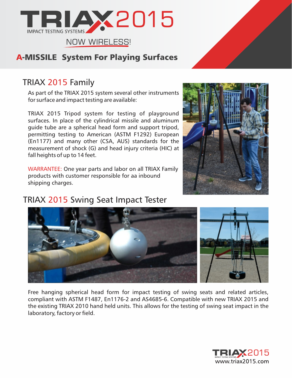

# TRIAX 2015 Family

As part of the TRIAX 2015 system several other instruments for surface and impact testing are available:

TRIAX 2015 Tripod system for testing of playground surfaces. In place of the cylindrical missile and aluminum guide tube are a spherical head form and support tripod, permitting testing to American (ASTM F1292) European (En1177) and many other (CSA, AUS) standards for the measurement of shock (G) and head injury criteria (HIC) at fall heights of up to 14 feet.

WARRANTEE: One year parts and labor on all TRIAX Family products with customer responsible for aa inbound shipping charges.

# TRIAX 2015 Swing Seat Impact Tester





Free hanging spherical head form for impact testing of swing seats and related articles, compliant with ASTM F1487, En1176-2 and AS4685-6. Compatible with new TRIAX 2015 and the existing TRIAX 2010 hand held units. This allows for the testing of swing seat impact in the laboratory, factory or field.

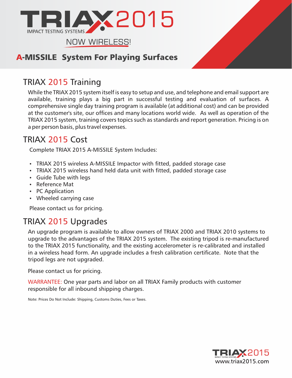

# TRIAX 2015 Training

While the TRIAX 2015 system itself is easy to setup and use, and telephone and email support are available, training plays a big part in successful testing and evaluation of surfaces. A comprehensive single day training program is available (at additional cost) and can be provided at the customer's site, our offices and many locations world wide. As well as operation of the TRIAX 2015 system, training covers topics such as standards and report generation. Pricing is on a per person basis, plus travel expenses.

# TRIAX 2015 Cost

Complete TRIAX 2015 A-MISSILE System Includes:

- TRIAX 2015 wireless A-MISSILE Impactor with fitted, padded storage case
- TRIAX 2015 wireless hand held data unit with fitted, padded storage case
- Guide Tube with legs
- Reference Mat
- PC Application
- Wheeled carrying case

Please contact us for pricing.

# TRIAX 2015 Upgrades

An upgrade program is available to allow owners of TRIAX 2000 and TRIAX 2010 systems to upgrade to the advantages of the TRIAX 2015 system. The existing tripod is re-manufactured to the TRIAX 2015 functionality, and the existing accelerometer is re-calibrated and installed in a wireless head form. An upgrade includes a fresh calibration certificate. Note that the tripod legs are not upgraded.

Please contact us for pricing.

WARRANTEE: One year parts and labor on all TRIAX Family products with customer responsible for all inbound shipping charges.

Note: Prices Do Not Include: Shipping, Customs Duties, Fees or Taxes.